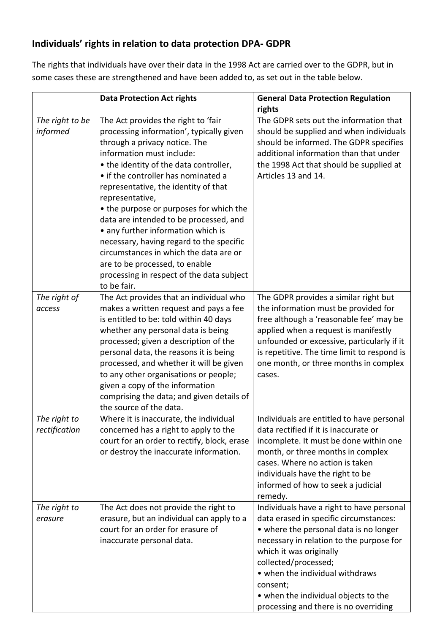## **Individuals' rights in relation to data protection DPA- GDPR**

The rights that individuals have over their data in the 1998 Act are carried over to the GDPR, but in some cases these are strengthened and have been added to, as set out in the table below.

|                               | <b>Data Protection Act rights</b>                                                                                                                                                                                                                                                                                                                                                                                                                                                                                                                                                                        | <b>General Data Protection Regulation</b><br>rights                                                                                                                                                                                                                                                                                                          |
|-------------------------------|----------------------------------------------------------------------------------------------------------------------------------------------------------------------------------------------------------------------------------------------------------------------------------------------------------------------------------------------------------------------------------------------------------------------------------------------------------------------------------------------------------------------------------------------------------------------------------------------------------|--------------------------------------------------------------------------------------------------------------------------------------------------------------------------------------------------------------------------------------------------------------------------------------------------------------------------------------------------------------|
| The right to be<br>informed   | The Act provides the right to 'fair<br>processing information', typically given<br>through a privacy notice. The<br>information must include:<br>• the identity of the data controller,<br>• if the controller has nominated a<br>representative, the identity of that<br>representative,<br>• the purpose or purposes for which the<br>data are intended to be processed, and<br>• any further information which is<br>necessary, having regard to the specific<br>circumstances in which the data are or<br>are to be processed, to enable<br>processing in respect of the data subject<br>to be fair. | The GDPR sets out the information that<br>should be supplied and when individuals<br>should be informed. The GDPR specifies<br>additional information than that under<br>the 1998 Act that should be supplied at<br>Articles 13 and 14.                                                                                                                      |
| The right of<br>access        | The Act provides that an individual who<br>makes a written request and pays a fee<br>is entitled to be: told within 40 days<br>whether any personal data is being<br>processed; given a description of the<br>personal data, the reasons it is being<br>processed, and whether it will be given<br>to any other organisations or people;<br>given a copy of the information<br>comprising the data; and given details of<br>the source of the data.                                                                                                                                                      | The GDPR provides a similar right but<br>the information must be provided for<br>free although a 'reasonable fee' may be<br>applied when a request is manifestly<br>unfounded or excessive, particularly if it<br>is repetitive. The time limit to respond is<br>one month, or three months in complex<br>cases.                                             |
| The right to<br>rectification | Where it is inaccurate, the individual<br>concerned has a right to apply to the<br>court for an order to rectify, block, erase<br>or destroy the inaccurate information.                                                                                                                                                                                                                                                                                                                                                                                                                                 | Individuals are entitled to have personal<br>data rectified if it is inaccurate or<br>incomplete. It must be done within one<br>month, or three months in complex<br>cases. Where no action is taken<br>individuals have the right to be<br>informed of how to seek a judicial<br>remedy.                                                                    |
| The right to<br>erasure       | The Act does not provide the right to<br>erasure, but an individual can apply to a<br>court for an order for erasure of<br>inaccurate personal data.                                                                                                                                                                                                                                                                                                                                                                                                                                                     | Individuals have a right to have personal<br>data erased in specific circumstances:<br>• where the personal data is no longer<br>necessary in relation to the purpose for<br>which it was originally<br>collected/processed;<br>• when the individual withdraws<br>consent;<br>• when the individual objects to the<br>processing and there is no overriding |